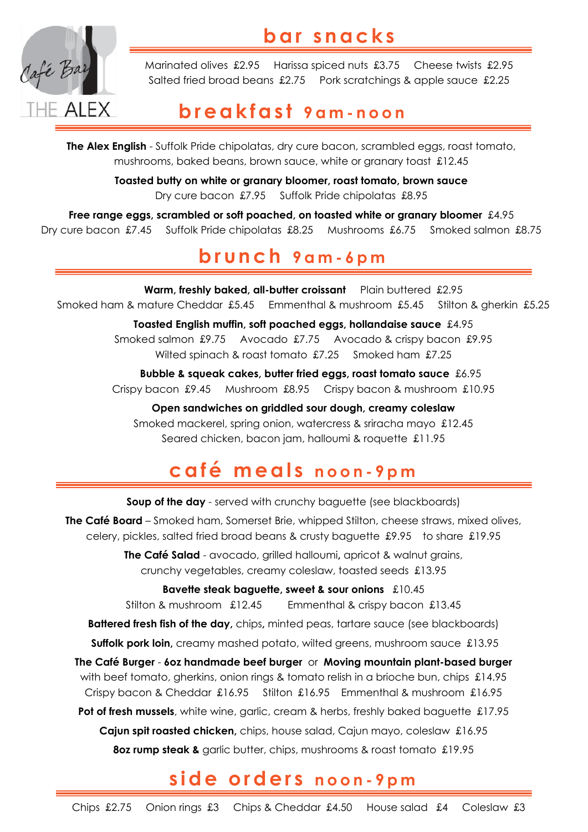



Marinated olives £2.95 Harissa spiced nuts £3.75 Cheese twists £2.95 Salted fried broad beans £2.75 Pork scratchings & apple sauce £2.25

## **b r e a k f a s t 9 a m - n o o n**

**The Alex English** - Suffolk Pride chipolatas, dry cure bacon, scrambled eggs, roast tomato, mushrooms, baked beans, brown sauce, white or granary toast £12.45

> **Toasted butty on white or granary bloomer, roast tomato, brown sauce** Dry cure bacon £7.95 Suffolk Pride chipolatas £8.95

**Free range eggs, scrambled or soft poached, on toasted white or granary bloomer** £4.95 Dry cure bacon £7.45 Suffolk Pride chipolatas £8.25 Mushrooms £6.75 Smoked salmon £8.75

## **b r u n c h 9 a m - 6 p m**

Warm, freshly baked, all-butter croissant Plain buttered £2.95 Smoked ham & mature Cheddar £5.45 Emmenthal & mushroom £5.45 Stilton & gherkin £5.25 **Toasted English muffin, soft poached eggs, hollandaise sauce** £4.95 Smoked salmon £9.75 Avocado £7.75 Avocado & crispy bacon £9.95 Wilted spinach & roast tomato £7.25 Smoked ham £7.25

 **Bubble & squeak cakes, butter fried eggs, roast tomato sauce** £6.95 Crispy bacon £9.45 Mushroom £8.95 Crispy bacon & mushroom £10.95

**Open sandwiches on griddled sour dough, creamy coleslaw** Smoked mackerel, spring onion, watercress & sriracha mayo £12.45 Seared chicken, bacon jam, halloumi & roquette £11.95

# **c a f é m e a l s n o o n - 9 p m**

**Soup of the day** - served with crunchy baguette (see blackboards)

**The Café Board** – Smoked ham, Somerset Brie, whipped Stilton, cheese straws, mixed olives, celery, pickles, salted fried broad beans & crusty baguette £9.95 to share £19.95

> **The Café Salad** - avocado, grilled halloumi**,** apricot & walnut grains, crunchy vegetables, creamy coleslaw, toasted seeds £13.95

> > **Bavette steak baguette, sweet & sour onions** £10.45

Stilton & mushroom £12.45 Emmenthal & crispy bacon £13.45

**Battered fresh fish of the day,** chips**,** minted peas, tartare sauce (see blackboards)

**Suffolk pork loin,** creamy mashed potato, wilted greens, mushroom sauce £13.95

**The Café Burger** - **6oz handmade beef burger** or **Moving mountain plant-based burger** with beef tomato, gherkins, onion rings & tomato relish in a brioche bun, chips £14.95 Crispy bacon & Cheddar £16.95 Stilton £16.95 Emmenthal & mushroom £16.95

**Pot of fresh mussels**, white wine, garlic, cream & herbs, freshly baked baguette £17.95 **Cajun spit roasted chicken,** chips, house salad, Cajun mayo, coleslaw £16.95 **8oz rump steak &** garlic butter, chips, mushrooms & roast tomato £19.95

# **s i d e o r d e r s n o o n - 9 p m**